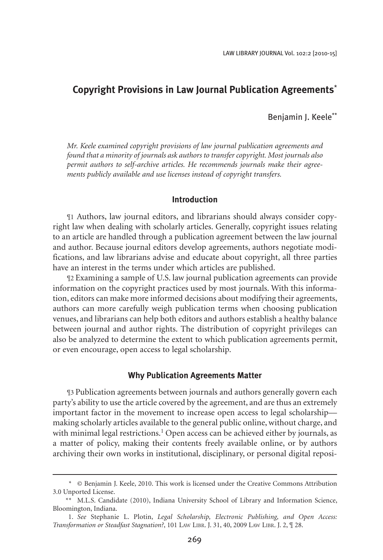# **Copyright Provisions in Law Journal Publication Agreements**\*

## Benjamin J. Keele\*\*

*Mr. Keele examined copyright provisions of law journal publication agreements and found that a minority of journals ask authors to transfer copyright. Most journals also permit authors to self-archive articles. He recommends journals make their agreements publicly available and use licenses instead of copyright transfers.*

### **Introduction**

¶1 Authors, law journal editors, and librarians should always consider copyright law when dealing with scholarly articles. Generally, copyright issues relating to an article are handled through a publication agreement between the law journal and author. Because journal editors develop agreements, authors negotiate modifications, and law librarians advise and educate about copyright, all three parties have an interest in the terms under which articles are published.

¶2 Examining a sample of U.S. law journal publication agreements can provide information on the copyright practices used by most journals. With this information, editors can make more informed decisions about modifying their agreements, authors can more carefully weigh publication terms when choosing publication venues, and librarians can help both editors and authors establish a healthy balance between journal and author rights. The distribution of copyright privileges can also be analyzed to determine the extent to which publication agreements permit, or even encourage, open access to legal scholarship.

#### **Why Publication Agreements Matter**

¶3 Publication agreements between journals and authors generally govern each party's ability to use the article covered by the agreement, and are thus an extremely important factor in the movement to increase open access to legal scholarship–– making scholarly articles available to the general public online, without charge, and with minimal legal restrictions.<sup>1</sup> Open access can be achieved either by journals, as a matter of policy, making their contents freely available online, or by authors archiving their own works in institutional, disciplinary, or personal digital reposi-

<sup>\*</sup> © Benjamin J. Keele, 2010. This work is licensed under the Creative Commons Attribution 3.0 Unported License.

<sup>\*\*</sup> M.L.S. Candidate (2010), Indiana University School of Library and Information Science, Bloomington, Indiana.

<sup>1.</sup> *See* Stephanie L. Plotin, *Legal Scholarship, Electronic Publishing, and Open Access: Transformation or Steadfast Stagnation?*, 101 Law Libr. J. 31, 40, 2009 Law Libr. J. 2, ¶ 28.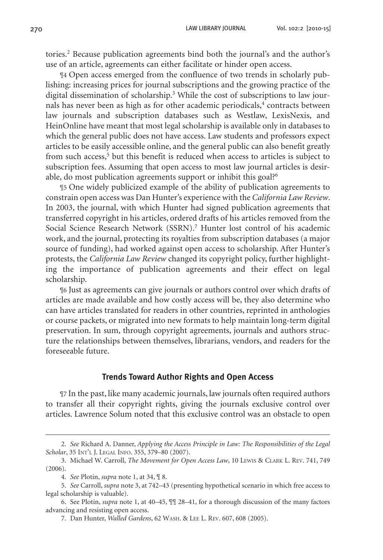tories.<sup>2</sup> Because publication agreements bind both the journal's and the author's use of an article, agreements can either facilitate or hinder open access.

¶4 Open access emerged from the confluence of two trends in scholarly publishing: increasing prices for journal subscriptions and the growing practice of the digital dissemination of scholarship.3 While the cost of subscriptions to law journals has never been as high as for other academic periodicals,<sup>4</sup> contracts between law journals and subscription databases such as Westlaw, LexisNexis, and HeinOnline have meant that most legal scholarship is available only in databases to which the general public does not have access. Law students and professors expect articles to be easily accessible online, and the general public can also benefit greatly from such access,<sup>5</sup> but this benefit is reduced when access to articles is subject to subscription fees. Assuming that open access to most law journal articles is desirable, do most publication agreements support or inhibit this goal?<sup>6</sup>

¶5 One widely publicized example of the ability of publication agreements to constrain open access was Dan Hunter's experience with the *California Law Review*. In 2003, the journal, with which Hunter had signed publication agreements that transferred copyright in his articles, ordered drafts of his articles removed from the Social Science Research Network (SSRN).<sup>7</sup> Hunter lost control of his academic work, and the journal, protecting its royalties from subscription databases (a major source of funding), had worked against open access to scholarship. After Hunter's protests, the *California Law Review* changed its copyright policy, further highlighting the importance of publication agreements and their effect on legal scholarship.

¶6 Just as agreements can give journals or authors control over which drafts of articles are made available and how costly access will be, they also determine who can have articles translated for readers in other countries, reprinted in anthologies or course packets, or migrated into new formats to help maintain long-term digital preservation. In sum, through copyright agreements, journals and authors structure the relationships between themselves, librarians, vendors, and readers for the foreseeable future.

#### **Trends Toward Author Rights and Open Access**

¶7 In the past, like many academic journals, law journals often required authors to transfer all their copyright rights, giving the journals exclusive control over articles. Lawrence Solum noted that this exclusive control was an obstacle to open

<sup>2.</sup> *See* Richard A. Danner, *Applying the Access Principle in Law: The Responsibilities of the Legal Scholar*, 35 Int'l J. Legal Info. 355, 379–80 (2007).

<sup>3.</sup> Michael W. Carroll, *The Movement for Open Access Law*, 10 Lewis & Clark L. Rev. 741, 749  $(2006)$ .

<sup>4.</sup> *See* Plotin, *supra* note 1, at 34, ¶ 8.

<sup>5.</sup> *See* Carroll, *supra* note 3, at 742–43 (presenting hypothetical scenario in which free access to legal scholarship is valuable).

<sup>6.</sup> See Plotin, *supra* note 1, at 40–45, ¶¶ 28–41, for a thorough discussion of the many factors advancing and resisting open access.

<sup>7.</sup> Dan Hunter, *Walled Gardens*, 62 Wash. & Lee L. Rev. 607, 608 (2005).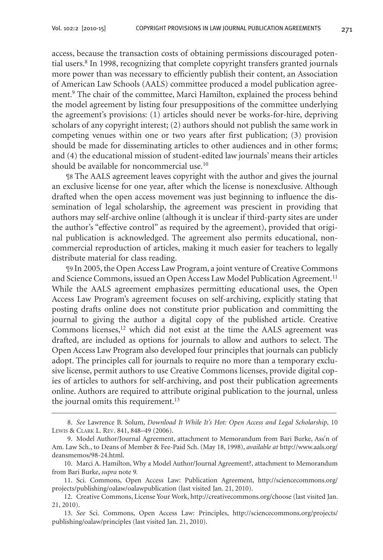access, because the transaction costs of obtaining permissions discouraged potential users.<sup>8</sup> In 1998, recognizing that complete copyright transfers granted journals more power than was necessary to efficiently publish their content, an Association of American Law Schools (AALS) committee produced a model publication agreement.<sup>9</sup> The chair of the committee, Marci Hamilton, explained the process behind the model agreement by listing four presuppositions of the committee underlying the agreement's provisions: (1) articles should never be works-for-hire, depriving scholars of any copyright interest; (2) authors should not publish the same work in competing venues within one or two years after first publication; (3) provision should be made for disseminating articles to other audiences and in other forms; and (4) the educational mission of student-edited law journals' means their articles should be available for noncommercial use.10

¶8 The AALS agreement leaves copyright with the author and gives the journal an exclusive license for one year, after which the license is nonexclusive. Although drafted when the open access movement was just beginning to influence the dissemination of legal scholarship, the agreement was prescient in providing that authors may self-archive online (although it is unclear if third-party sites are under the author's "effective control" as required by the agreement), provided that original publication is acknowledged. The agreement also permits educational, noncommercial reproduction of articles, making it much easier for teachers to legally distribute material for class reading.

¶9 In 2005, the Open Access Law Program, a joint venture of Creative Commons and Science Commons, issued an Open Access Law Model Publication Agreement.11 While the AALS agreement emphasizes permitting educational uses, the Open Access Law Program's agreement focuses on self-archiving, explicitly stating that posting drafts online does not constitute prior publication and committing the journal to giving the author a digital copy of the published article. Creative Commons licenses, $12$  which did not exist at the time the AALS agreement was drafted, are included as options for journals to allow and authors to select. The Open Access Law Program also developed four principles that journals can publicly adopt. The principles call for journals to require no more than a temporary exclusive license, permit authors to use Creative Commons licenses, provide digital copies of articles to authors for self-archiving, and post their publication agreements online. Authors are required to attribute original publication to the journal, unless the journal omits this requirement.<sup>13</sup>

<sup>8.</sup> *See* Lawrence B. Solum, *Download It While It's Hot: Open Access and Legal Scholarship*, 10 Lewis & Clark L. Rev. 841, 848–49 (2006).

<sup>9.</sup> Model Author/Journal Agreement, attachment to Memorandum from Bari Burke, Ass'n of Am. Law Sch., to Deans of Member & Fee-Paid Sch. (May 18, 1998), *available at* http://www.aals.org/ deansmemos/98-24.html.

<sup>10.</sup> Marci A. Hamilton, Why a Model Author/Journal Agreement?, attachment to Memorandum from Bari Burke, *supra* note 9*.*

<sup>11.</sup> Sci. Commons, Open Access Law: Publication Agreement, http://sciencecommons.org/ projects/publishing/oalaw/oalawpublication (last visited Jan. 21, 2010).

<sup>12.</sup> Creative Commons, License Your Work, http://creativecommons.org/choose (last visited Jan. 21, 2010).

<sup>13.</sup> *See* Sci. Commons, Open Access Law: Principles, http://sciencecommons.org/projects/ publishing/oalaw/principles (last visited Jan. 21, 2010).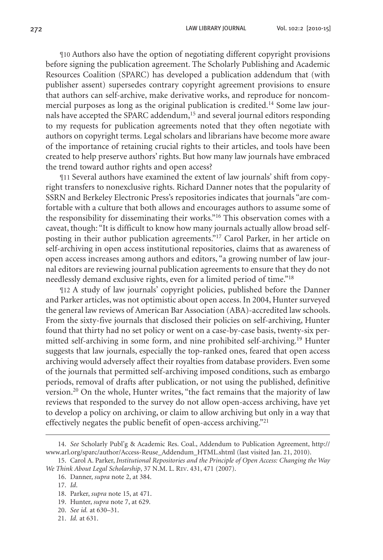¶10 Authors also have the option of negotiating different copyright provisions before signing the publication agreement. The Scholarly Publishing and Academic Resources Coalition (SPARC) has developed a publication addendum that (with publisher assent) supersedes contrary copyright agreement provisions to ensure that authors can self-archive, make derivative works, and reproduce for noncommercial purposes as long as the original publication is credited.<sup>14</sup> Some law journals have accepted the SPARC addendum,<sup>15</sup> and several journal editors responding to my requests for publication agreements noted that they often negotiate with authors on copyright terms. Legal scholars and librarians have become more aware of the importance of retaining crucial rights to their articles, and tools have been created to help preserve authors' rights. But how many law journals have embraced the trend toward author rights and open access?

¶11 Several authors have examined the extent of law journals' shift from copyright transfers to nonexclusive rights. Richard Danner notes that the popularity of SSRN and Berkeley Electronic Press's repositories indicates that journals "are comfortable with a culture that both allows and encourages authors to assume some of the responsibility for disseminating their works."16 This observation comes with a caveat, though: "It is difficult to know how many journals actually allow broad selfposting in their author publication agreements."17 Carol Parker, in her article on self-archiving in open access institutional repositories, claims that as awareness of open access increases among authors and editors, "a growing number of law journal editors are reviewing journal publication agreements to ensure that they do not needlessly demand exclusive rights, even for a limited period of time."18

¶12 A study of law journals' copyright policies, published before the Danner and Parker articles, was not optimistic about open access. In 2004, Hunter surveyed the general law reviews of American Bar Association (ABA)-accredited law schools. From the sixty-five journals that disclosed their policies on self-archiving, Hunter found that thirty had no set policy or went on a case-by-case basis, twenty-six permitted self-archiving in some form, and nine prohibited self-archiving.19 Hunter suggests that law journals, especially the top-ranked ones, feared that open access archiving would adversely affect their royalties from database providers. Even some of the journals that permitted self-archiving imposed conditions, such as embargo periods, removal of drafts after publication, or not using the published, definitive version.20 On the whole, Hunter writes, "the fact remains that the majority of law reviews that responded to the survey do not allow open-access archiving, have yet to develop a policy on archiving, or claim to allow archiving but only in a way that effectively negates the public benefit of open-access archiving."21

<sup>14.</sup> *See* Scholarly Publ'g & Academic Res. Coal., Addendum to Publication Agreement, http:// www.arl.org/sparc/author/Access-Reuse\_Addendum\_HTML.shtml (last visited Jan. 21, 2010).

<sup>15.</sup> Carol A. Parker, *Institutional Repositories and the Principle of Open Access: Changing the Way We Think About Legal Scholarship*, 37 N.M. L. Rev. 431, 471 (2007).

<sup>16.</sup> Danner, *supra* note 2, at 384.

<sup>17.</sup> *Id*.

<sup>18.</sup> Parker, *supra* note 15, at 471.

<sup>19.</sup> Hunter, *supra* note 7, at 629.

<sup>20.</sup> *See id.* at 630–31.

<sup>21.</sup> *Id.* at 631.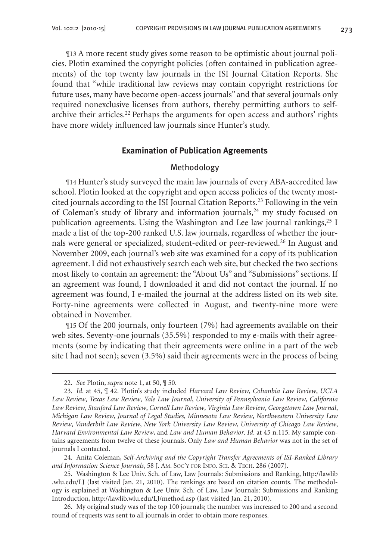¶13 A more recent study gives some reason to be optimistic about journal policies. Plotin examined the copyright policies (often contained in publication agreements) of the top twenty law journals in the ISI Journal Citation Reports. She found that "while traditional law reviews may contain copyright restrictions for future uses, many have become open-access journals" and that several journals only required nonexclusive licenses from authors, thereby permitting authors to selfarchive their articles.<sup>22</sup> Perhaps the arguments for open access and authors' rights have more widely influenced law journals since Hunter's study.

## **Examination of Publication Agreements**

## Methodology

¶14 Hunter's study surveyed the main law journals of every ABA-accredited law school. Plotin looked at the copyright and open access policies of the twenty mostcited journals according to the ISI Journal Citation Reports.23 Following in the vein of Coleman's study of library and information journals, $24$  my study focused on publication agreements. Using the Washington and Lee law journal rankings,  $^{25}$  I made a list of the top-200 ranked U.S. law journals, regardless of whether the journals were general or specialized, student-edited or peer-reviewed.<sup>26</sup> In August and November 2009, each journal's web site was examined for a copy of its publication agreement. I did not exhaustively search each web site, but checked the two sections most likely to contain an agreement: the "About Us" and "Submissions" sections. If an agreement was found, I downloaded it and did not contact the journal. If no agreement was found, I e-mailed the journal at the address listed on its web site. Forty-nine agreements were collected in August, and twenty-nine more were obtained in November.

¶15 Of the 200 journals, only fourteen (7%) had agreements available on their web sites. Seventy-one journals (35.5%) responded to my e-mails with their agreements (some by indicating that their agreements were online in a part of the web site I had not seen); seven (3.5%) said their agreements were in the process of being

24. Anita Coleman, *Self-Archiving and the Copyright Transfer Agreements of ISI-Ranked Library and Information Science Journals*, 58 J. Am. Soc'y for Info. Sci. & Tech. 286 (2007).

<sup>22.</sup> *See* Plotin, *supra* note 1, at 50, ¶ 50.

<sup>23.</sup> *Id*. at 45, ¶ 42. Plotin's study included *Harvard Law Review*, *Columbia Law Review*, *UCLA Law Review*, *Texas Law Review*, *Yale Law Journal*, *University of Pennsylvania Law Review*, *California Law Review*, *Stanford Law Review*, *Cornell Law Review*, *Virginia Law Review*, *Georgetown Law Journal*, *Michigan Law Review*, *Journal of Legal Studies*, *Minnesota Law Review*, *Northwestern University Law Review*, *Vanderbilt Law Review*, *New York University Law Review*, *University of Chicago Law Review*, *Harvard Environmental Law Review*, and *Law and Human Behavior*. *Id*. at 45 n.115. My sample contains agreements from twelve of these journals. Only *Law and Human Behavior* was not in the set of journals I contacted.

<sup>25.</sup> Washington & Lee Univ. Sch. of Law, Law Journals: Submissions and Ranking, http://lawlib .wlu.edu/LJ (last visited Jan. 21, 2010). The rankings are based on citation counts. The methodology is explained at Washington & Lee Univ. Sch. of Law, Law Journals: Submissions and Ranking Introduction, http://lawlib.wlu.edu/LJ/method.asp (last visited Jan. 21, 2010).

<sup>26.</sup> My original study was of the top 100 journals; the number was increased to 200 and a second round of requests was sent to all journals in order to obtain more responses.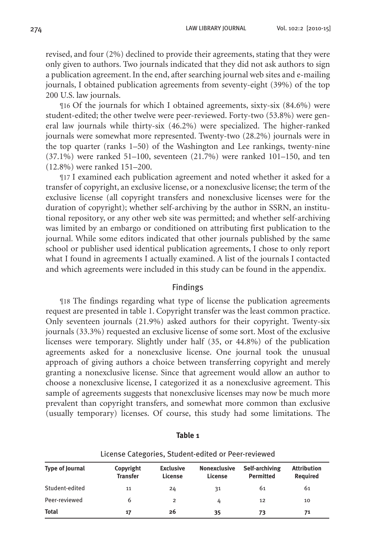revised, and four (2%) declined to provide their agreements, stating that they were only given to authors. Two journals indicated that they did not ask authors to sign a publication agreement. In the end, after searching journal web sites and e-mailing journals, I obtained publication agreements from seventy-eight (39%) of the top 200 U.S. law journals.

¶16 Of the journals for which I obtained agreements, sixty-six (84.6%) were student-edited; the other twelve were peer-reviewed. Forty-two (53.8%) were general law journals while thirty-six (46.2%) were specialized. The higher-ranked journals were somewhat more represented. Twenty-two (28.2%) journals were in the top quarter (ranks 1–50) of the Washington and Lee rankings, twenty-nine (37.1%) were ranked 51–100, seventeen (21.7%) were ranked 101–150, and ten (12.8%) were ranked 151–200.

¶17 I examined each publication agreement and noted whether it asked for a transfer of copyright, an exclusive license, or a nonexclusive license; the term of the exclusive license (all copyright transfers and nonexclusive licenses were for the duration of copyright); whether self-archiving by the author in SSRN, an institutional repository, or any other web site was permitted; and whether self-archiving was limited by an embargo or conditioned on attributing first publication to the journal. While some editors indicated that other journals published by the same school or publisher used identical publication agreements, I chose to only report what I found in agreements I actually examined. A list of the journals I contacted and which agreements were included in this study can be found in the appendix.

### Findings

¶18 The findings regarding what type of license the publication agreements request are presented in table 1. Copyright transfer was the least common practice. Only seventeen journals (21.9%) asked authors for their copyright. Twenty-six journals (33.3%) requested an exclusive license of some sort. Most of the exclusive licenses were temporary. Slightly under half (35, or 44.8%) of the publication agreements asked for a nonexclusive license. One journal took the unusual approach of giving authors a choice between transferring copyright and merely granting a nonexclusive license. Since that agreement would allow an author to choose a nonexclusive license, I categorized it as a nonexclusive agreement. This sample of agreements suggests that nonexclusive licenses may now be much more prevalent than copyright transfers, and somewhat more common than exclusive (usually temporary) licenses. Of course, this study had some limitations. The

| License Categories, Student-edited or Peer-reviewed |                              |                             |                                |                                    |                                       |
|-----------------------------------------------------|------------------------------|-----------------------------|--------------------------------|------------------------------------|---------------------------------------|
| <b>Type of Journal</b>                              | Copyright<br><b>Transfer</b> | <b>Exclusive</b><br>License | <b>Nonexclusive</b><br>License | Self-archiving<br><b>Permitted</b> | <b>Attribution</b><br><b>Required</b> |
| Student-edited                                      | 11                           | 24                          | 31                             | 61                                 | 61                                    |
| Peer-reviewed                                       | 6                            | $\overline{2}$              | 4                              | 12                                 | 10                                    |
| <b>Total</b>                                        | 17                           | 26                          | 35                             | 73                                 | 71                                    |

### **Table 1**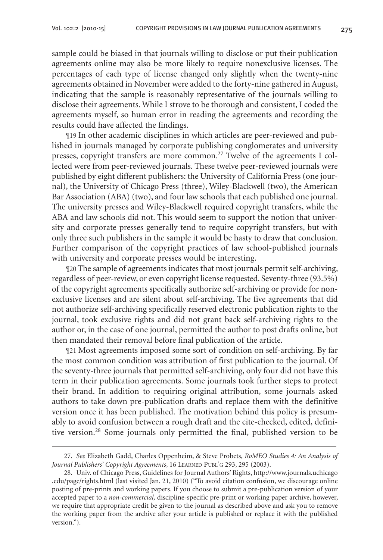sample could be biased in that journals willing to disclose or put their publication agreements online may also be more likely to require nonexclusive licenses. The percentages of each type of license changed only slightly when the twenty-nine agreements obtained in November were added to the forty-nine gathered in August, indicating that the sample is reasonably representative of the journals willing to disclose their agreements. While I strove to be thorough and consistent, I coded the agreements myself, so human error in reading the agreements and recording the results could have affected the findings.

¶19 In other academic disciplines in which articles are peer-reviewed and published in journals managed by corporate publishing conglomerates and university presses, copyright transfers are more common.<sup>27</sup> Twelve of the agreements I collected were from peer-reviewed journals. These twelve peer-reviewed journals were published by eight different publishers: the University of California Press (one journal), the University of Chicago Press (three), Wiley-Blackwell (two), the American Bar Association (ABA) (two), and four law schools that each published one journal. The university presses and Wiley-Blackwell required copyright transfers, while the ABA and law schools did not. This would seem to support the notion that university and corporate presses generally tend to require copyright transfers, but with only three such publishers in the sample it would be hasty to draw that conclusion. Further comparison of the copyright practices of law school-published journals with university and corporate presses would be interesting.

¶20 The sample of agreements indicates that most journals permit self-archiving, regardless of peer-review, or even copyright license requested. Seventy-three (93.5%) of the copyright agreements specifically authorize self-archiving or provide for nonexclusive licenses and are silent about self-archiving. The five agreements that did not authorize self-archiving specifically reserved electronic publication rights to the journal, took exclusive rights and did not grant back self-archiving rights to the author or, in the case of one journal, permitted the author to post drafts online, but then mandated their removal before final publication of the article.

¶21 Most agreements imposed some sort of condition on self-archiving. By far the most common condition was attribution of first publication to the journal. Of the seventy-three journals that permitted self-archiving, only four did not have this term in their publication agreements. Some journals took further steps to protect their brand. In addition to requiring original attribution, some journals asked authors to take down pre-publication drafts and replace them with the definitive version once it has been published. The motivation behind this policy is presumably to avoid confusion between a rough draft and the cite-checked, edited, definitive version.28 Some journals only permitted the final, published version to be

<sup>27.</sup> *See* Elizabeth Gadd, Charles Oppenheim, & Steve Probets, *RoMEO Studies 4: An Analysis of*  Journal Publishers' Copyright Agreements, 16 LEARNED PUBL'G 293, 295 (2003).

<sup>28.</sup> Univ. of Chicago Press, Guidelines for Journal Authors' Rights, http://www.journals.uchicago .edu/page/rights.html (last visited Jan. 21, 2010) ("To avoid citation confusion, we discourage online posting of pre-prints and working papers. If you choose to submit a pre-publication version of your accepted paper to a *non-commercial,* discipline-specific pre-print or working paper archive, however, we require that appropriate credit be given to the journal as described above and ask you to remove the working paper from the archive after your article is published or replace it with the published version.").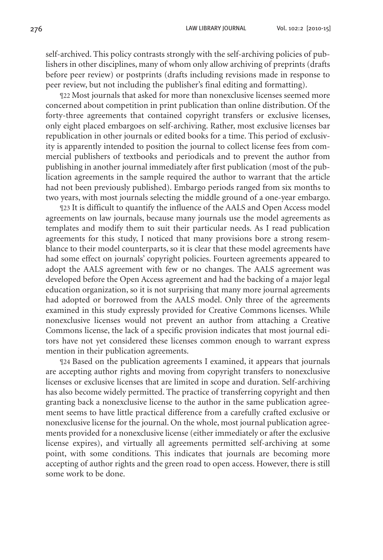276 Law Library Journal Vol. 102:2 [2010-15]

self-archived. This policy contrasts strongly with the self-archiving policies of publishers in other disciplines, many of whom only allow archiving of preprints (drafts before peer review) or postprints (drafts including revisions made in response to peer review, but not including the publisher's final editing and formatting).

¶22 Most journals that asked for more than nonexclusive licenses seemed more concerned about competition in print publication than online distribution. Of the forty-three agreements that contained copyright transfers or exclusive licenses, only eight placed embargoes on self-archiving. Rather, most exclusive licenses bar republication in other journals or edited books for a time. This period of exclusivity is apparently intended to position the journal to collect license fees from commercial publishers of textbooks and periodicals and to prevent the author from publishing in another journal immediately after first publication (most of the publication agreements in the sample required the author to warrant that the article had not been previously published). Embargo periods ranged from six months to two years, with most journals selecting the middle ground of a one-year embargo.

¶23 It is difficult to quantify the influence of the AALS and Open Access model agreements on law journals, because many journals use the model agreements as templates and modify them to suit their particular needs. As I read publication agreements for this study, I noticed that many provisions bore a strong resemblance to their model counterparts, so it is clear that these model agreements have had some effect on journals' copyright policies. Fourteen agreements appeared to adopt the AALS agreement with few or no changes. The AALS agreement was developed before the Open Access agreement and had the backing of a major legal education organization, so it is not surprising that many more journal agreements had adopted or borrowed from the AALS model. Only three of the agreements examined in this study expressly provided for Creative Commons licenses. While nonexclusive licenses would not prevent an author from attaching a Creative Commons license, the lack of a specific provision indicates that most journal editors have not yet considered these licenses common enough to warrant express mention in their publication agreements.

¶24 Based on the publication agreements I examined, it appears that journals are accepting author rights and moving from copyright transfers to nonexclusive licenses or exclusive licenses that are limited in scope and duration. Self-archiving has also become widely permitted. The practice of transferring copyright and then granting back a nonexclusive license to the author in the same publication agreement seems to have little practical difference from a carefully crafted exclusive or nonexclusive license for the journal. On the whole, most journal publication agreements provided for a nonexclusive license (either immediately or after the exclusive license expires), and virtually all agreements permitted self-archiving at some point, with some conditions. This indicates that journals are becoming more accepting of author rights and the green road to open access. However, there is still some work to be done.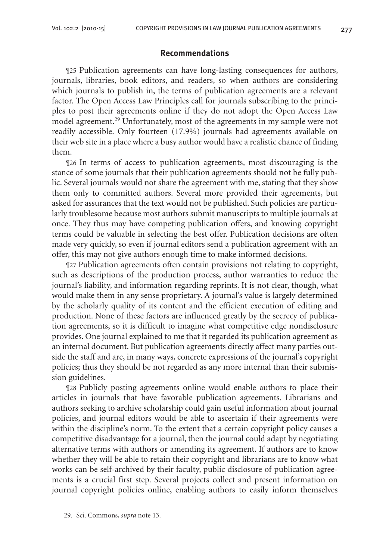## **Recommendations**

¶25 Publication agreements can have long-lasting consequences for authors, journals, libraries, book editors, and readers, so when authors are considering which journals to publish in, the terms of publication agreements are a relevant factor. The Open Access Law Principles call for journals subscribing to the principles to post their agreements online if they do not adopt the Open Access Law model agreement.<sup>29</sup> Unfortunately, most of the agreements in my sample were not readily accessible. Only fourteen (17.9%) journals had agreements available on their web site in a place where a busy author would have a realistic chance of finding them.

¶26 In terms of access to publication agreements, most discouraging is the stance of some journals that their publication agreements should not be fully public. Several journals would not share the agreement with me, stating that they show them only to committed authors. Several more provided their agreements, but asked for assurances that the text would not be published. Such policies are particularly troublesome because most authors submit manuscripts to multiple journals at once. They thus may have competing publication offers, and knowing copyright terms could be valuable in selecting the best offer. Publication decisions are often made very quickly, so even if journal editors send a publication agreement with an offer, this may not give authors enough time to make informed decisions.

¶27 Publication agreements often contain provisions not relating to copyright, such as descriptions of the production process, author warranties to reduce the journal's liability, and information regarding reprints. It is not clear, though, what would make them in any sense proprietary. A journal's value is largely determined by the scholarly quality of its content and the efficient execution of editing and production. None of these factors are influenced greatly by the secrecy of publication agreements, so it is difficult to imagine what competitive edge nondisclosure provides. One journal explained to me that it regarded its publication agreement as an internal document. But publication agreements directly affect many parties outside the staff and are, in many ways, concrete expressions of the journal's copyright policies; thus they should be not regarded as any more internal than their submission guidelines.

¶28 Publicly posting agreements online would enable authors to place their articles in journals that have favorable publication agreements. Librarians and authors seeking to archive scholarship could gain useful information about journal policies, and journal editors would be able to ascertain if their agreements were within the discipline's norm. To the extent that a certain copyright policy causes a competitive disadvantage for a journal, then the journal could adapt by negotiating alternative terms with authors or amending its agreement. If authors are to know whether they will be able to retain their copyright and librarians are to know what works can be self-archived by their faculty, public disclosure of publication agreements is a crucial first step. Several projects collect and present information on journal copyright policies online, enabling authors to easily inform themselves

29. Sci. Commons, *supra* note 13.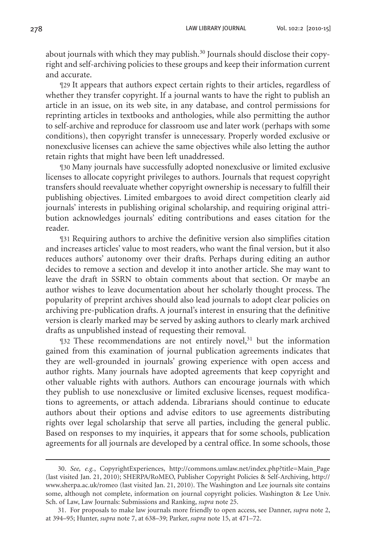about journals with which they may publish.<sup>30</sup> Journals should disclose their copyright and self-archiving policies to these groups and keep their information current and accurate.

¶29 It appears that authors expect certain rights to their articles, regardless of whether they transfer copyright. If a journal wants to have the right to publish an article in an issue, on its web site, in any database, and control permissions for reprinting articles in textbooks and anthologies, while also permitting the author to self-archive and reproduce for classroom use and later work (perhaps with some conditions), then copyright transfer is unnecessary. Properly worded exclusive or nonexclusive licenses can achieve the same objectives while also letting the author retain rights that might have been left unaddressed.

¶30 Many journals have successfully adopted nonexclusive or limited exclusive licenses to allocate copyright privileges to authors. Journals that request copyright transfers should reevaluate whether copyright ownership is necessary to fulfill their publishing objectives. Limited embargoes to avoid direct competition clearly aid journals' interests in publishing original scholarship, and requiring original attribution acknowledges journals' editing contributions and eases citation for the reader.

¶31 Requiring authors to archive the definitive version also simplifies citation and increases articles' value to most readers, who want the final version, but it also reduces authors' autonomy over their drafts. Perhaps during editing an author decides to remove a section and develop it into another article. She may want to leave the draft in SSRN to obtain comments about that section. Or maybe an author wishes to leave documentation about her scholarly thought process. The popularity of preprint archives should also lead journals to adopt clear policies on archiving pre-publication drafts. A journal's interest in ensuring that the definitive version is clearly marked may be served by asking authors to clearly mark archived drafts as unpublished instead of requesting their removal.

¶32 These recommendations are not entirely novel,31 but the information gained from this examination of journal publication agreements indicates that they are well-grounded in journals' growing experience with open access and author rights. Many journals have adopted agreements that keep copyright and other valuable rights with authors. Authors can encourage journals with which they publish to use nonexclusive or limited exclusive licenses, request modifications to agreements, or attach addenda. Librarians should continue to educate authors about their options and advise editors to use agreements distributing rights over legal scholarship that serve all parties, including the general public. Based on responses to my inquiries, it appears that for some schools, publication agreements for all journals are developed by a central office. In some schools, those

<sup>30.</sup> *See, e.g.*, CopyrightExperiences, http://commons.umlaw.net/index.php?title=Main\_Page (last visited Jan. 21, 2010); SHERPA/RoMEO, Publisher Copyright Policies & Self-Archiving, http:// www.sherpa.ac.uk/romeo (last visited Jan. 21, 2010). The Washington and Lee journals site contains some, although not complete, information on journal copyright policies. Washington & Lee Univ. Sch. of Law, Law Journals: Submissions and Ranking, *supra* note 25.

<sup>31.</sup> For proposals to make law journals more friendly to open access, see Danner, *supra* note 2, at 394–95; Hunter, *supra* note 7, at 638–39; Parker, *supra* note 15, at 471–72.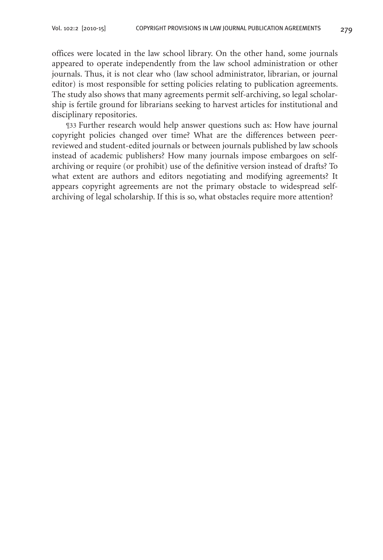offices were located in the law school library. On the other hand, some journals appeared to operate independently from the law school administration or other journals. Thus, it is not clear who (law school administrator, librarian, or journal editor) is most responsible for setting policies relating to publication agreements. The study also shows that many agreements permit self-archiving, so legal scholarship is fertile ground for librarians seeking to harvest articles for institutional and disciplinary repositories.

¶33 Further research would help answer questions such as: How have journal copyright policies changed over time? What are the differences between peerreviewed and student-edited journals or between journals published by law schools instead of academic publishers? How many journals impose embargoes on selfarchiving or require (or prohibit) use of the definitive version instead of drafts? To what extent are authors and editors negotiating and modifying agreements? It appears copyright agreements are not the primary obstacle to widespread selfarchiving of legal scholarship. If this is so, what obstacles require more attention?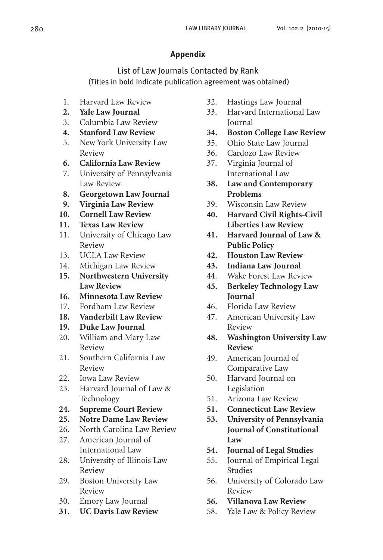## **Appendix**

List of Law Journals Contacted by Rank (Titles in bold indicate publication agreement was obtained)

- 1. Harvard Law Review
- **2. Yale Law Journal**
- 3. Columbia Law Review
- **4. Stanford Law Review**
- 5. New York University Law Review
- **6. California Law Review**
- 7. University of Pennsylvania Law Review
- **8. Georgetown Law Journal**
- **9. Virginia Law Review**
- **10. Cornell Law Review**
- **11. Texas Law Review**
- 11. University of Chicago Law Review
- 13. UCLA Law Review
- 14. Michigan Law Review
- **15. Northwestern University Law Review**
- **16. Minnesota Law Review**
- 17. Fordham Law Review
- **18. Vanderbilt Law Review**
- **19. Duke Law Journal**
- 20. William and Mary Law Review
- 21. Southern California Law Review
- 22. Iowa Law Review
- 23. Harvard Journal of Law & Technology
- **24. Supreme Court Review**
- **25. Notre Dame Law Review**
- 26. North Carolina Law Review
- 27. American Journal of International Law
- 28. University of Illinois Law Review
- 29. Boston University Law Review
- 30. Emory Law Journal
- **31. UC Davis Law Review**
- 32. Hastings Law Journal
- 33. Harvard International Law Journal
- **34. Boston College Law Review**
- 35. Ohio State Law Journal
- 36. Cardozo Law Review
- 37. Virginia Journal of International Law
- **38. Law and Contemporary Problems**
- 39. Wisconsin Law Review
- **40. Harvard Civil Rights-Civil Liberties Law Review**
- **41. Harvard Journal of Law & Public Policy**
- **42. Houston Law Review**
- **43. Indiana Law Journal**
- 44. Wake Forest Law Review
- **45. Berkeley Technology Law Journal**
- 46. Florida Law Review
- 47. American University Law Review
- **48. Washington University Law Review**
- 49. American Journal of Comparative Law
- 50. Harvard Journal on Legislation
- 51. Arizona Law Review
- **51. Connecticut Law Review**
- **53. University of Pennsylvania Journal of Constitutional Law**
- **54. Journal of Legal Studies**
- 55. Journal of Empirical Legal Studies
- 56. University of Colorado Law Review
- **56. Villanova Law Review**
- 58. Yale Law & Policy Review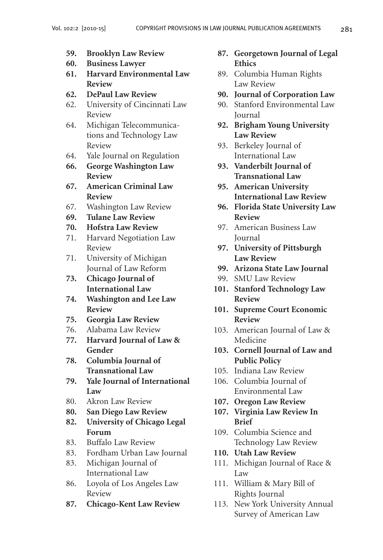- **59. Brooklyn Law Review**
- **60. Business Lawyer**
- **61. Harvard Environmental Law Review**
- **62. DePaul Law Review**
- 62. University of Cincinnati Law Review
- 64. Michigan Telecommunications and Technology Law Review
- 64. Yale Journal on Regulation
- **66. George Washington Law Review**
- **67. American Criminal Law Review**
- 67. Washington Law Review
- **69. Tulane Law Review**
- **70. Hofstra Law Review**
- 71. Harvard Negotiation Law Review
- 71. University of Michigan Journal of Law Reform
- **73. Chicago Journal of International Law**
- **74. Washington and Lee Law Review**
- **75. Georgia Law Review**
- 76. Alabama Law Review
- **77. Harvard Journal of Law & Gender**
- **78. Columbia Journal of Transnational Law**
- **79. Yale Journal of International Law**
- 80. Akron Law Review
- **80. San Diego Law Review**
- **82. University of Chicago Legal Forum**
- 83. Buffalo Law Review
- 83. Fordham Urban Law Journal
- 83. Michigan Journal of International Law
- 86. Loyola of Los Angeles Law Review
- **87. Chicago-Kent Law Review**
- **87. Georgetown Journal of Legal Ethics**
- 89. Columbia Human Rights Law Review
- **90. Journal of Corporation Law**
- 90. Stanford Environmental Law Journal
- **92. Brigham Young University Law Review**
- 93. Berkeley Journal of International Law
- **93. Vanderbilt Journal of Transnational Law**
- **95. American University International Law Review**
- **96. Florida State University Law Review**
- 97. American Business Law Journal
- **97. University of Pittsburgh Law Review**
- **99. Arizona State Law Journal**
- 99. SMU Law Review
- **101. Stanford Technology Law Review**
- **101. Supreme Court Economic Review**
- 103. American Journal of Law & Medicine
- **103. Cornell Journal of Law and Public Policy**
- 105. Indiana Law Review
- 106. Columbia Journal of Environmental Law
- **107. Oregon Law Review**
- **107. Virginia Law Review In Brief**
- 109. Columbia Science and Technology Law Review
- **110. Utah Law Review**
- 111. Michigan Journal of Race & Law
- 111. William & Mary Bill of Rights Journal
- 113. New York University Annual Survey of American Law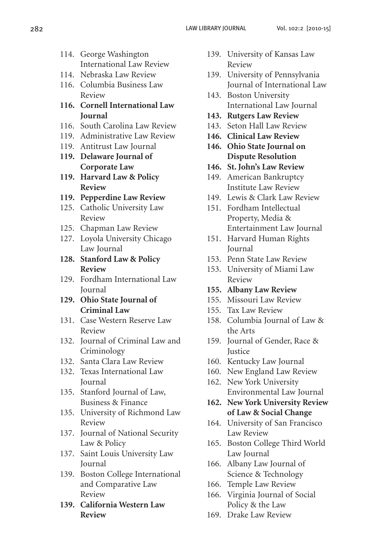- 
- 114. George Washington International Law Review
- 114. Nebraska Law Review
- 116. Columbia Business Law Review
- **116. Cornell International Law Journal**
- 116. South Carolina Law Review
- 119. Administrative Law Review
- 119. Antitrust Law Journal
- **119. Delaware Journal of Corporate Law**
- **119. Harvard Law & Policy Review**
- **119. Pepperdine Law Review**
- 125. Catholic University Law Review
- 125. Chapman Law Review
- 127. Loyola University Chicago Law Journal
- **128. Stanford Law & Policy Review**
- 129. Fordham International Law Journal
- **129. Ohio State Journal of Criminal Law**
- 131. Case Western Reserve Law Review
- 132. Journal of Criminal Law and Criminology
- 132. Santa Clara Law Review
- 132. Texas International Law Journal
- 135. Stanford Journal of Law, Business & Finance
- 135. University of Richmond Law Review
- 137. Journal of National Security Law & Policy
- 137. Saint Louis University Law Journal
- 139. Boston College International and Comparative Law Review
- **139. California Western Law Review**
- 139. University of Kansas Law Review
- 139. University of Pennsylvania Journal of International Law
- 143. Boston University International Law Journal
- **143. Rutgers Law Review**
- 143. Seton Hall Law Review
- **146. Clinical Law Review**
- **146. Ohio State Journal on Dispute Resolution**
- **146. St. John's Law Review**
- 149. American Bankruptcy Institute Law Review
- 149. Lewis & Clark Law Review
- 151. Fordham Intellectual Property, Media & Entertainment Law Journal
- 151. Harvard Human Rights Journal
- 153. Penn State Law Review
- 153. University of Miami Law Review
- **155. Albany Law Review**
- 155. Missouri Law Review
- 155. Tax Law Review
- 158. Columbia Journal of Law & the Arts
- 159. Journal of Gender, Race & **Iustice**
- 160. Kentucky Law Journal
- 160. New England Law Review
- 162. New York University Environmental Law Journal
- **162. New York University Review of Law & Social Change**
- 164. University of San Francisco Law Review
- 165. Boston College Third World Law Journal
- 166. Albany Law Journal of Science & Technology
- 166. Temple Law Review
- 166. Virginia Journal of Social Policy & the Law
- 169. Drake Law Review